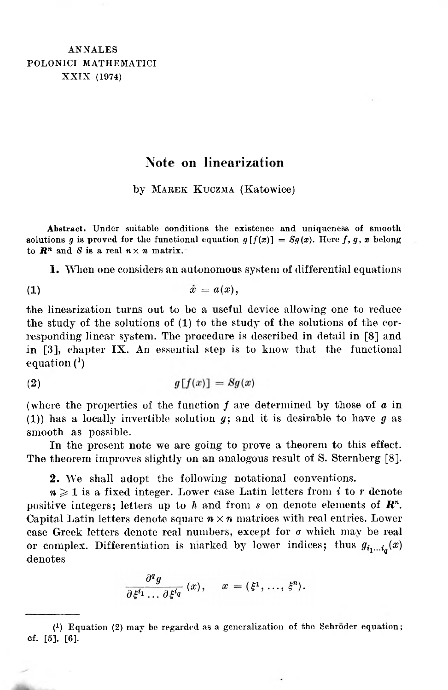## **Note on linearization**

by Marek Kuczma (Katowice)

**Abstract.** Under suitable conditions the existence and uniqueness of smooth solutions *g* is proved for the functional equation  $g[f(x)] = Sg(x)$ . Here *f*, *g*, *x* belong to  $\mathbb{R}^n$  and *S* is a real  $n \times n$  matrix.

**1.** When one considers an autonomous system of differential equations

$$
(1) \t\t\t \tilde{x} = a(x),
$$

the linearization turns out to be a useful device allowing one to reduce the study of the solutions of (1) to the study of the solutions of the corresponding linear system. The procedure is described in detail in [\[8\]](#page-6-0) and in [\[3\]](#page-6-1), chapter IX. An essential step is to know that the functional equation (1)

$$
(2) \t\t\t g[f(x)] = Sg(x)
$$

(where the properties of the function *f* are determined by those of *<sup>a</sup>* in (1)) has a locally invertible solution *g;* and it is desirable to have *g* as smooth as possible.

In the present note we are going to prove a theorem to this effect. The theorem improves slightly on an analogous result of S. Sternberg [\[8\]](#page-6-0).

**2.** We shall adopt the following notational conventions.

 $n \geqslant 1$  is a fixed integer. Lower case Latin letters from *i* to *r* denote positive integers; letters up to *h* and from *s* on denote elements of *R<sup>n</sup>.* Capital Latin letters denote square  $n \times n$  matrices with real entries. Lower case Greek letters denote real numbers, except for  $\sigma$  which may be real or complex. Differentiation is marked by lower indices; thus  $g_{i_1...i_n}(x)$ denotes

$$
\frac{\partial^q g}{\partial \xi^{i_1} \dots \partial \xi^{i_q}}(x), \quad x = (\xi^1, \dots, \xi^n).
$$

(1) Equation (2) may be regarded as a generalization of the Schroder equation; of. [5], [6].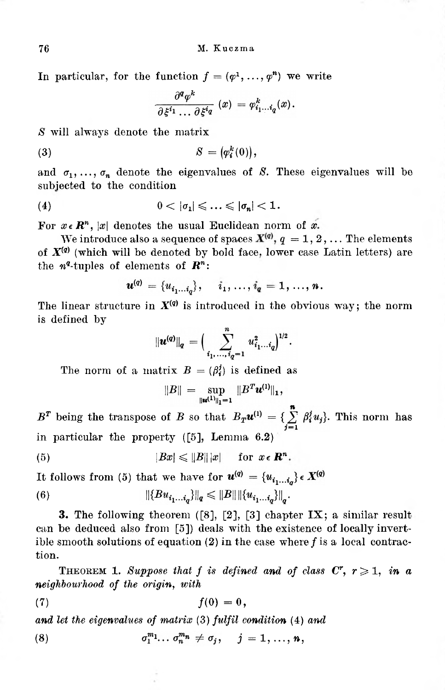In particular, for the function  $f = (\varphi^1, \ldots, \varphi^n)$  we write

$$
\frac{\partial^{\boldsymbol{q}} \varphi^k}{\partial \xi^{i_1} \dots \partial \xi^{i_{\boldsymbol{q}}}}\,\left(x\right)\,=\varphi^k_{i_1 \dots i_{\boldsymbol{q}}}(x)\,.
$$

S will always denote the matrix

$$
(3) \hspace{1cm} S = \big(\varphi_i^k(0)\big),
$$

and  $\sigma_1, \ldots, \sigma_n$  denote the eigenvalues of *S*. These eigenvalues will be subjected to the condition

$$
(4) \t\t 0 < |\sigma_1| \leqslant \ldots \leqslant |\sigma_n| < 1.
$$

For  $x \in \mathbb{R}^n$ , |x| denotes the usual Euclidean norm of x.

We introduce also a sequence of spaces  $X^{(q)}$ ,  $q = 1, 2, ...$  The elements of  $X^{(q)}$  (which will be denoted by bold face, lower case Latin letters) are the  $n^q$ -tuples of elements of  $\mathbb{R}^n$ :

$$
u^{(q)} = \{u_{i_1...i_q}\}, \quad i_1, ..., i_q = 1, ..., n.
$$

The linear structure in  $X^{(q)}$  is introduced in the obvious way; the norm is defined by

$$
\|\bm{u}^{(q)}\|_q = \Big(\sum_{i_1,\ldots,i_q=1}^n u_{i_1\ldots i_q}^2\Big)^{1/2}.
$$

The norm of a matrix  $B = (\beta_i^j)$  is defined as

$$
||B|| = \sup_{||\mathbf{u}^{(1)}||_1=1} ||B^T \mathbf{u}^{(1)}||_1,
$$

 $B^T$  being the transpose of *B* so that  $B_T u^{(1)} = \{\sum_{i=1}^n \beta_i^j u_j\}$ . This norm has in particular the property ([\[5\],](#page-6-2) Lemma 6.2)

(5) 
$$
|Bx| \leq ||B|| |x| \quad \text{for } x \in \mathbb{R}^n.
$$

It follows from (5) that we have for  $u^{(q)} = \{u_{i_1...i_q}\}\in X^{(q)}$ 

(6) 
$$
\|\{Bu_{i_1...i_q}\}\|_q \leq \|B\| \|\{u_{i_1...i_q}\}\|_q
$$

**3.** The following theorem ([\[8\],](#page-6-3) [\[2\],](#page-6-4) [\[3\]](#page-6-5) chapter IX; a similar result can be deduced also from [\[5\]](#page-6-6)) deals with the existence of locally invertible smooth solutions of equation (2) in the case where *f* is a local contraction.

**THEOREM 1.** Suppose that f is defined and of class  $C^r$ ,  $r \geq 1$ , in a *neighbourhood of the origin, with*

$$
f(0) = 0,
$$

*and let the eigenvalues of matrix* (3) *fulfil condition* (4) *and*

(8) 
$$
\sigma_1^{m_1}\dots\sigma_n^{m_n}\neq\sigma_j, \quad j=1,\dots,n,
$$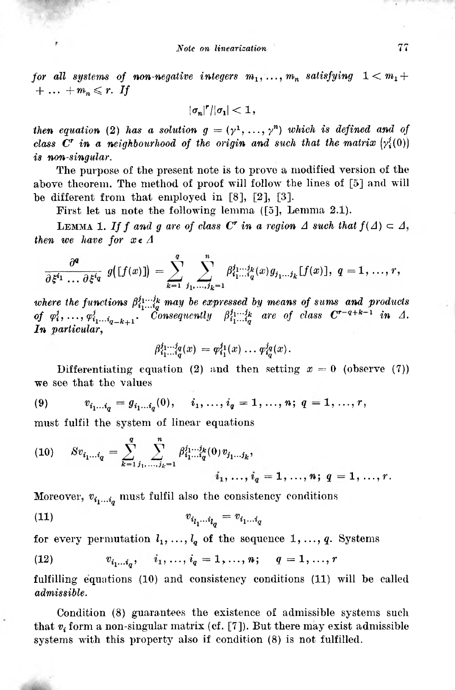*for* all systems of non-negative integers  $m_1, \ldots, m_n$  satisfying  $1 < m_1 +$  $+ \ldots + m_n \leq r$ . If

 $|\sigma_n|^r/|\sigma_1| < 1$ ,

*then equation* (2) *has a solution*  $g = (\gamma^1, \ldots, \gamma^n)$  *which is defined and of class*  $C^r$  *in a neighbourhood* of the origin and such that the matrix  $(\gamma_i^j(0))$ *is non-singular.*

The purpose of the present note is to prove a modified version of the above theorem. The method of proof will follow the lines of [\[5\]](#page-6-10) and will be different from that employed in [\[8\],](#page-6-7) [\[2\],](#page-6-8) [\[3\].](#page-6-9)

First let us note the following lemma ([\[5\],](#page-6-10) Lemma 2.1).

LEMMA 1. If *f* and *g* are of class  $C^r$  in a region  $\Delta$  such that  $f(\Delta) \subset \Delta$ , *then we have for*  $x \in \Lambda$ 

$$
\frac{\partial^{\boldsymbol{q}}}{\partial \xi^{\boldsymbol{i}_1} \dots \partial \xi^{\boldsymbol{i}_q}} \, g\big(\big[f(x)\big]\big) \, = \sum_{k=1}^q \sum_{j_1,\dots,j_k=1}^n \beta_{i_1\dots i_q}^{j_1\dots j_k}(x) g_{j_1\dots j_k}[f(x)], \; q=1,\dots,r,
$$

where the functions  $\beta_{i_1...i_q}^{j_1...j_k}$  may be expressed by means of sums and products<br>of  $\varphi_i^j, \ldots, \varphi_{i_1...i_{q-k+1}}^j$ . Consequently  $\beta_{i_1...i_q}^{j_1...j_k}$  are of class  $\mathbf{C}^{r-q+k-1}$  in  $\varLambda$ . *of*  $\varphi_i^j$ , ...,  $\varphi_{i_1...i_{q-k+1}}^j$ . Consequently *In particular,*

$$
\beta_{i_1...i_q}^{j_1...j_q}(x) = \varphi_{i_1}^{j_1}(x) \ldots \varphi_{i_q}^{j_q}(x).
$$

Differentiating equation (2) and then setting  $x = 0$  (observe (7)) we see that the values

(9) 
$$
v_{i_1...i_q} = g_{i_1...i_q}(0), \quad i_1,...,i_q = 1,...,n; q = 1,...,r,
$$

must fulfil the system of linear equations

(10) 
$$
Sv_{i_1...i_q} = \sum_{k=1}^q \sum_{j_1,...,j_k=1}^n \beta_{i_1...i_q}^{j_1...j_k} (0) v_{j_1...j_k},
$$

$$
i_1, ..., i_q = 1, ..., n; q = 1, ..., r.
$$

Moreover,  $v_{i_1...i_q}$  must fulfil also the consistency conditions

(11) 
$$
v_{i_1...i_q} = v_{i_1...i_q}
$$

for every permutation  $l_1, \ldots, l_q$  of the sequence  $1, \ldots, q$ . Systems

(12) 
$$
v_{i_1...i_q}, \quad i_1, ..., i_q = 1, ..., n; \quad q = 1, ..., r
$$

fulfilling equations (10) and consistency conditions (11) will be called *admissible.*

Condition (8) guarantees the existence of admissible systems such that *vi* form a non-singular matrix (cf. [\[7\]\)](#page-6-11). But there may exist admissible systems with this property also if condition (8) is not fulfilled.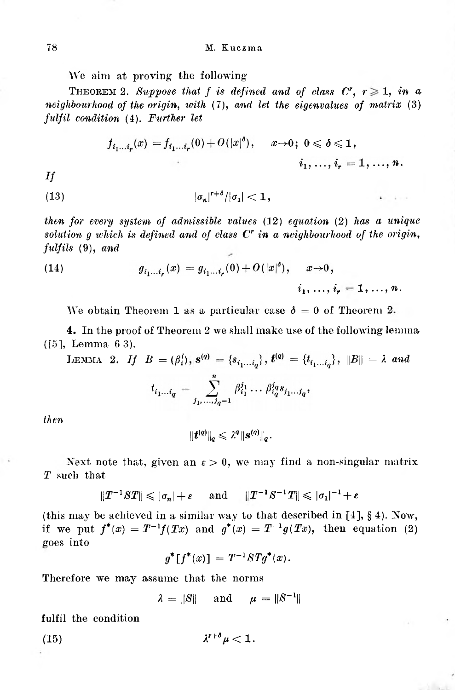We aim at proving the following

THEOREM 2. *Suppose* that *f* is defined and of class  $C^r$ ,  $r \geq 1$ , in a *neighbourhood of the origin, with* (7), *and let the eigenvalues of matrix* (3) *fulfil condition* (4). *Further let*

$$
f_{i_1...i_r}(x) = f_{i_1...i_r}(0) + O(|x|^{\delta}), \quad x \to 0; \ 0 \leq \delta \leq 1,
$$
  

$$
i_1, ..., i_r = 1, ..., n.
$$

 $-1 - 1$ 

*If*

$$
(13) \t\t\t |\sigma_n|^{r+\delta}/|\sigma_1|<1,
$$

*then for every system of admissible values* (12) *equation* (2) *has a unique solution g which is defined and of class C<sup>r</sup> in a neighbourhood of the origin, fulfils* (9), *and*

(14) 
$$
g_{i_1...i_r}(x) = g_{i_1...i_r}(0) + O(|x|^{\delta}), \quad x \to 0, i_1, ..., i_r = 1, ..., n.
$$

We obtain Theorem 1 as a particular case  $\delta = 0$  of Theorem 2.

4. In the proof of Theorem 2 we shall make use of the following lemma ([5], Lemma 6 3).

LEMMA 2. If 
$$
B = (\beta_i^j)
$$
,  $\mathbf{s}^{(q)} = \{s_{i_1...i_q}\}$ ,  $\mathbf{t}^{(q)} = \{t_{i_1...i_q}\}$ ,  $||B|| = \lambda$  and  

$$
t_{i_1...i_q} = \sum_{j_1,...j_q=1}^n \beta_{i_1}^{j_1} \dots \beta_{i_q}^{j_q} s_{j_1...j_q},
$$

*then*

$$
\|\boldsymbol{t}^{(q)}\|_q\leqslant\lambda^q\|\boldsymbol{s}^{(q)}\|_q.
$$

Next note that, given an  $\epsilon > 0$ , we may find a non-singular matrix *T* such that

$$
||T^{-1}ST|| \leqslant |\sigma_n| + \varepsilon \quad \text{and} \quad ||T^{-1}S^{-1}T|| \leqslant |\sigma_1|^{-1} + \varepsilon
$$

(this may be achieved in a similar way to that described in [4], § 4). Now, if we put  $f^{*}(x) = T^{-1}f(Tx)$  and  $g^{*}(x) = T^{-1}g(Tx)$ , then equation (2) goes into

$$
g^* [f^*(x)] = T^{-1} S T g^*(x).
$$

Therefore we may assume that the norms

 $\lambda = ||S||$  and  $\mu = ||S^{-1}||$ 

fulfil the condition

(15) *r+δμ<* 1.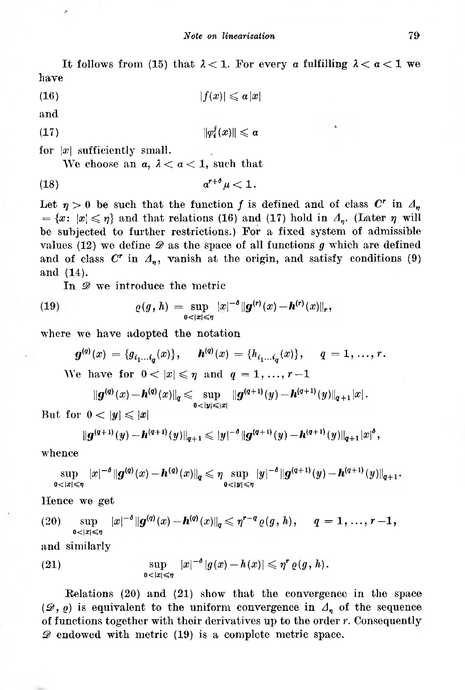It follows from (15) that  $\lambda < 1$ . For every *a* fulfilling  $\lambda < a < 1$  we have

 $|f(x)| \leqslant a|x|$  $(16)$ 

and

$$
||\varphi_i^j(x)|| \leqslant \alpha
$$

for |x| sufficiently small.

We choose an  $a, \lambda < a < 1$ , such that

$$
(18) \t\t a^{r+\delta}\mu < 1.
$$

Let  $\eta > 0$  be such that the function *f* is defined and of class  $C^r$  in  $A_n$  $=\{x: |x| \leq \eta\}$  and that relations (16) and (17) hold in  $\Lambda_n$ . (Later  $\eta$  will be subjected to further restrictions.) For a fixed system of admissible values (12) we define *D* as the space of all functions *g* which are defined and of class  $C^r$  in  $A_n$ , vanish at the origin, and satisfy conditions (9) and (14).

In  $\mathscr{D}$  we introduce the metric

(19) 
$$
\varrho(g, h) = \sup_{0 < |x| \leq \eta} |x|^{-\delta} ||g^{(r)}(x) - h^{(r)}(x)||_r,
$$

where we have adopted the notation

$$
g^{(q)}(x) = \{g_{i_1...i_q}(x)\}, \quad h^{(q)}(x) = \{h_{i_1...i_q}(x)\}, \quad q = 1, ..., r.
$$

We have for  $0 < |x| \leqslant \eta$  and  $q=1,\ldots,r-1$ 

$$
\|\bm{g}^{(\bm{q})}(x)-\bm{h}^{(\bm{q})}(x)\|_{\bm{q}}\leqslant \sup_{\bm{0}<\bm{|y|}\leqslant\vert x\vert}\|\bm{g}^{(\bm{q}+1)}(y)-\bm{h}^{(\bm{q}+1)}(y)\|_{\bm{q}+1}\vert x\vert\,.
$$

But for  $0 < |y| \leqslant |x|$ 

$$
\|\boldsymbol{g}^{(q+1)}(y)-\boldsymbol{h}^{(q+1)}(y)\|_{q+1}\leqslant |y|^{-\delta}\|\boldsymbol{g}^{(q+1)}(y)-\boldsymbol{h}^{(q+1)}(y)\|_{q+1}|x|^{\delta},
$$

whence

$$
\sup_{0<|x|\leqslant \eta} |x|^{-\delta} \|g^{(q)}(x)-\bm{h}^{(q)}(x)\|_q \leqslant \eta \sup_{0<|y|\leqslant \eta} |y|^{-\delta} \|g^{(q+1)}(y)-\bm{h}^{(q+1)}(y)\|_{q+1}.
$$

Hence we get

(20) 
$$
\sup_{0<|x|\leqslant\eta} |x|^{-\delta} \|g^{(q)}(x)-h^{(q)}(x)\|_{q}\leqslant \eta^{r-q} \varrho(g,h), \quad q=1,\ldots,r-1,
$$

and similarly

(21) 
$$
\sup_{0<|x|\leq \eta} |x|^{-\delta} |g(x)-h(x)| \leqslant \eta^r \varrho(g,h).
$$

Relations (20) and (21) show that the convergence in the space ( $\mathscr{D}, \varrho$ ) is equivalent to the uniform convergence in  $\varDelta_n$  of the sequence of functions together with their derivatives up to the order *r.* Consequently *D* endowed with metric (19) is a complete metric space.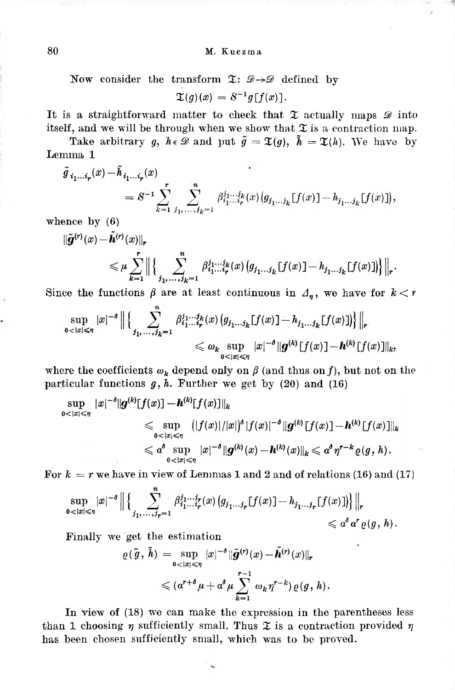## 80 M. Kuczma

Now consider the transform  $\mathfrak{T}: \mathscr{D} \rightarrow \mathscr{D}$  defined by

 $\mathfrak{X}(q)(x) = S^{-1}q[f(x)].$ 

It is a straightforward matter to check that  $\mathfrak X$  actually maps  $\mathscr D$  into itself, and we will be through when we show that  $\mathfrak X$  is a contraction map.

Take arbitrary *g,*  $h \in \mathcal{D}$  and put  $\tilde{g} = \mathfrak{T}(g)$ ,  $\tilde{h} = \mathfrak{T}(h)$ . We have by Lemma 1

$$
\tilde{g}_{i_1...i_r}(x) - \tilde{h}_{i_1...i_r}(x) = S^{-1} \sum_{k=1}^r \sum_{j_1,...,j_k=1}^n \beta_{i_1...i_r}^{j_1...j_k}(x) (g_{j_1...j_k}[f(x)] - h_{j_1...j_k}[f(x)]),
$$

whence by  $(6)$ 

$$
\|\tilde{\mathbf{g}}^{(r)}(x) - \tilde{\mathbf{h}}^{(r)}(x)\|_{r} \leq \mu \sum_{k=1}^{r} \|\Big\{\sum_{j_{1},...,j_{k}=1}^{n} \beta_{i_{1}...i_{r}}^{j_{1}...j_{k}}(x) \big(g_{j_{1}...j_{k}}[f(x)] - h_{j_{1}...j_{k}}[f(x)]\big)\Big\|_{r}.
$$

Since the functions  $\beta$  are at least continuous in  $\Delta_n$ , we have for  $k < r$ 

$$
\sup_{0<|x|\leqslant\eta}|x|^{-\delta}\Big\|\Big\{\sum_{j_1,\ldots,j_k=1}^n\beta_{i_1\ldots i_r}^{j_1\ldots j_k}(x)\big(g_{j_1\ldots j_k}[f(x)]-h_{j_1\ldots j_k}[f(x)]\big)\Big\}\Big\|_r
$$
  
\$\leqslant \omega\_k \sup\_{0<|x|\leqslant\eta}|x|^{-\delta}\|g^{(k)}[f(x)]-h^{(k)}[f(x)]\|\_k\$,

where the coefficients  $\omega_k$  depend only on  $\beta$  (and thus on *f*), but not on the particular functions  $g, h$ . Further we get by  $(20)$  and  $(16)$ 

$$
\sup_{0<|x|\leqslant \eta} |x|^{-\delta} \|g^{(k)}[f(x)] - \bm{h}^{(k)}[f(x)]\|_{k} \leqslant \sup_{0<|x|\leqslant \eta} (|f(x)|/|x|)^{\delta} |f(x)|^{-\delta} \|g^{(k)}[f(x)] - \bm{h}^{(k)}[f(x)]\|_{k} \leqslant \alpha^{\delta} \sup_{0<|x|\leqslant \eta} |x|^{-\delta} \|g^{(k)}(x) - \bm{h}^{(k)}(x)\|_{k} \leqslant \alpha^{\delta} \eta^{r-k} \varrho(g,h).
$$

For  $k = r$  we have in view of Lemmas 1 and 2 and of relations (16) and (17)

$$
\sup_{0<|x|\leqslant\eta}|x|^{-\delta}\Big\|\Big\{\sum_{j_1,\ldots,j_r=1}^n\beta_{i_1\ldots i_r}^{j_1\ldots j_r}(x)\big(g_{j_1\ldots j_r}[f(x)]-h_{j_1\ldots j_r}[f(x)]\big)\Big\}\Big\|_r\\ \leqslant\alpha^{\delta}\alpha^r\varrho(g,\,h)\,.
$$

Finally we get the estimation

$$
\varrho(\tilde{g}, \tilde{h}) = \sup_{0 < |x| \leq \eta} |x|^{-\delta} \|\tilde{g}^{(r)}(x) - \tilde{h}^{(r)}(x)\|_{r}
$$
\n
$$
\leqslant (\alpha^{r+\delta}\mu + \alpha^{\delta}\mu \sum_{k=1}^{r-1} \omega_k \eta^{r-k}) \varrho(g, h).
$$

In view of (18) we can make the expression in the parentheses less than 1 choosing  $\eta$  sufficiently small. Thus  $\mathfrak X$  is a contraction provided  $\eta$ has been chosen sufficiently small, which was to be proved.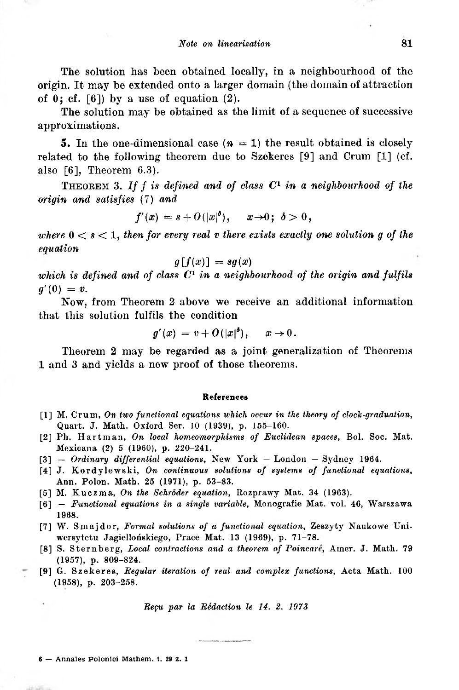The solution has been obtained locally, in a neighbourhood of the origin. It may be extended onto a larger domain (the domain of attraction of  $0$ ; cf. [\[6\]](#page-6-12)) by a use of equation (2).

The solution may be obtained as the limit of a sequence of successive approximations.

**5.** In the one-dimensional case  $(n = 1)$  the result obtained is closely related to the following theorem due to Szekeres [\[9\]](#page-6-13) and Crum [\[1\]](#page-6-14) (cf. also [\[6\],](#page-6-15) Theorem 6.3).

<sup>T</sup>heorem 3. *If f is defined and of class <sup>C</sup><sup>1</sup> in <sup>a</sup> neighbourhood of the origin and satisfies* (7) *and*

$$
f'(x) = s + O(|x|^{\delta}), \quad x \to 0; \ \delta > 0,
$$

*where*  $0 \lt s \lt 1$ , *then for every real v there exists exactly one solution g of the equation*

$$
g[f(x)] = sg(x)
$$

*which is defined and of class C<sup>1</sup> in a neighbourhood of the origin and fulfils*  $g'(0) = v$ .

Now, from Theorem 2 above we receive an additional information that this solution fulfils the condition

$$
g'(x) = v + O(|x|^{\delta}), \quad x \to 0.
$$

Theorem 2 may be regarded as a joint generalization of Theorems 1 and 3 and yields a new proof of those theorems.

## **References**

- <span id="page-6-14"></span>[1] M. Crum, *On two functional equations which occur in the theory of clock-graduation,* Quart. J. Math. Oxford Ser. 10 (1939), p. 155-160.
- <span id="page-6-8"></span><span id="page-6-4"></span>[2] Ph. Hartman, *On local homeomorphisms of Euclidean spaces,* Bol. Soc. Mat. Mexicana (2) 5 (1960), p. 220-241.
- <span id="page-6-9"></span>[3] — *Ordinary differential equations,* New York — London — Sydney 1964.
- <span id="page-6-5"></span><span id="page-6-1"></span>[4] J. Kordylewski, *On continuous solutions of systems of functional equations,* Ann. Polon. Math. 25 (1971), p. 53-83.
- <span id="page-6-10"></span>[5] M. Kuczma, *On the Schroder equation,* Rozprawy Mat. 34 (1963).
- <span id="page-6-15"></span><span id="page-6-12"></span><span id="page-6-6"></span><span id="page-6-2"></span>[6] — *Functional equations in a single variable,* Monografie Mat. vol. 46, Warszawa 1968.
- <span id="page-6-11"></span>[7] W. Smajdor, *Formal solutions of a functional equation,* Zeszyty Naukowe Uniwersytetu Jagiellońskiego, Prace Mat. 13 (1969), p. 71-78.
- <span id="page-6-7"></span><span id="page-6-3"></span><span id="page-6-0"></span>[8] S. Sternberg, *Local contractions and a theorem of Poincare,* Amer. J. Math. 79 (1957), p. 809-824.
- <span id="page-6-13"></span>[9] G. Szekeres, *Regular iteration of real and complex functions,* Acta Math. 100 (1958), p. 203-258.

*Reçu par la Rédaction le 14. 2. 1973*

<sup>6</sup> — Annales Polonici Mathem. t. <sup>29</sup> z. <sup>1</sup>